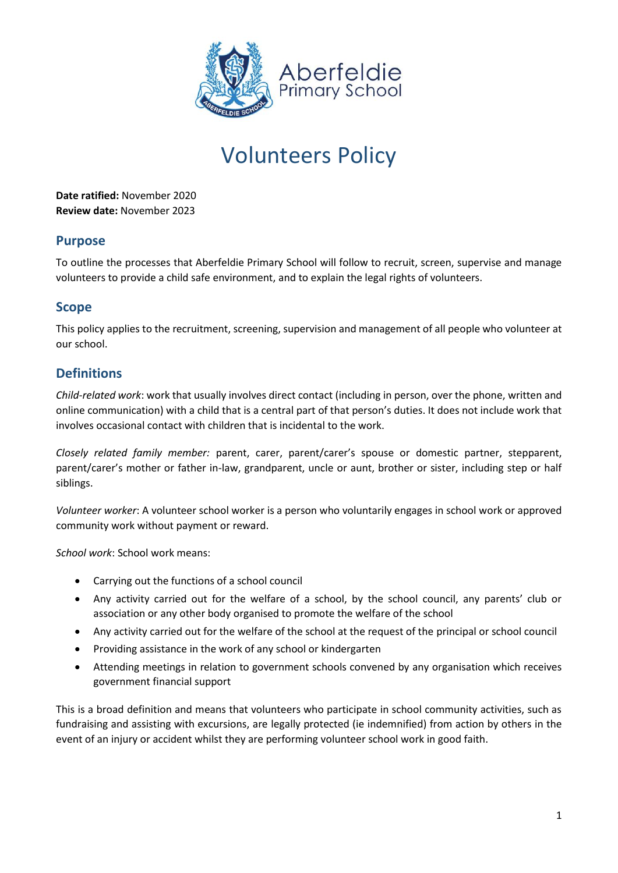

# Volunteers Policy

**Date ratified:** November 2020 **Review date:** November 2023

## **Purpose**

To outline the processes that Aberfeldie Primary School will follow to recruit, screen, supervise and manage volunteers to provide a child safe environment, and to explain the legal rights of volunteers.

# **Scope**

This policy applies to the recruitment, screening, supervision and management of all people who volunteer at our school.

# **Definitions**

*Child-related work*: work that usually involves direct contact (including in person, over the phone, written and online communication) with a child that is a central part of that person's duties. It does not include work that involves occasional contact with children that is incidental to the work.

*Closely related family member:* parent, carer, parent/carer's spouse or domestic partner, stepparent, parent/carer's mother or father in-law, grandparent, uncle or aunt, brother or sister, including step or half siblings.

*Volunteer worker*: A volunteer school worker is a person who voluntarily engages in school work or approved community work without payment or reward.

*School work*: School work means:

- Carrying out the functions of a school council
- Any activity carried out for the welfare of a school, by the school council, any parents' club or association or any other body organised to promote the welfare of the school
- Any activity carried out for the welfare of the school at the request of the principal or school council
- Providing assistance in the work of any school or kindergarten
- Attending meetings in relation to government schools convened by any organisation which receives government financial support

This is a broad definition and means that volunteers who participate in school community activities, such as fundraising and assisting with excursions, are legally protected (ie indemnified) from action by others in the event of an injury or accident whilst they are performing volunteer school work in good faith.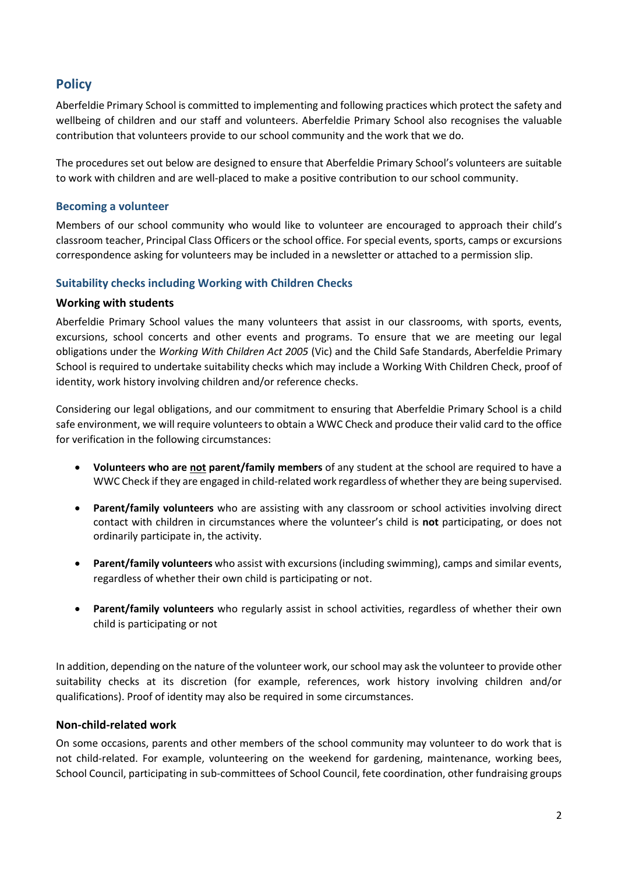# **Policy**

Aberfeldie Primary School is committed to implementing and following practices which protect the safety and wellbeing of children and our staff and volunteers. Aberfeldie Primary School also recognises the valuable contribution that volunteers provide to our school community and the work that we do.

The procedures set out below are designed to ensure that Aberfeldie Primary School's volunteers are suitable to work with children and are well-placed to make a positive contribution to our school community.

#### **Becoming a volunteer**

Members of our school community who would like to volunteer are encouraged to approach their child's classroom teacher, Principal Class Officers or the school office. For special events, sports, camps or excursions correspondence asking for volunteers may be included in a newsletter or attached to a permission slip.

#### **Suitability checks including Working with Children Checks**

#### **Working with students**

Aberfeldie Primary School values the many volunteers that assist in our classrooms, with sports, events, excursions, school concerts and other events and programs. To ensure that we are meeting our legal obligations under the *Working With Children Act 2005* (Vic) and the Child Safe Standards, Aberfeldie Primary School is required to undertake suitability checks which may include a Working With Children Check, proof of identity, work history involving children and/or reference checks.

Considering our legal obligations, and our commitment to ensuring that Aberfeldie Primary School is a child safe environment, we will require volunteers to obtain a WWC Check and produce their valid card to the office for verification in the following circumstances:

- **Volunteers who are not parent/family members** of any student at the school are required to have a WWC Check if they are engaged in child-related work regardless of whether they are being supervised.
- **Parent/family volunteers** who are assisting with any classroom or school activities involving direct contact with children in circumstances where the volunteer's child is **not** participating, or does not ordinarily participate in, the activity.
- **Parent/family volunteers** who assist with excursions (including swimming), camps and similar events, regardless of whether their own child is participating or not.
- **Parent/family volunteers** who regularly assist in school activities, regardless of whether their own child is participating or not

In addition, depending on the nature of the volunteer work, our school may ask the volunteer to provide other suitability checks at its discretion (for example, references, work history involving children and/or qualifications). Proof of identity may also be required in some circumstances.

#### **Non-child-related work**

On some occasions, parents and other members of the school community may volunteer to do work that is not child-related. For example, volunteering on the weekend for gardening, maintenance, working bees, School Council, participating in sub-committees of School Council, fete coordination, other fundraising groups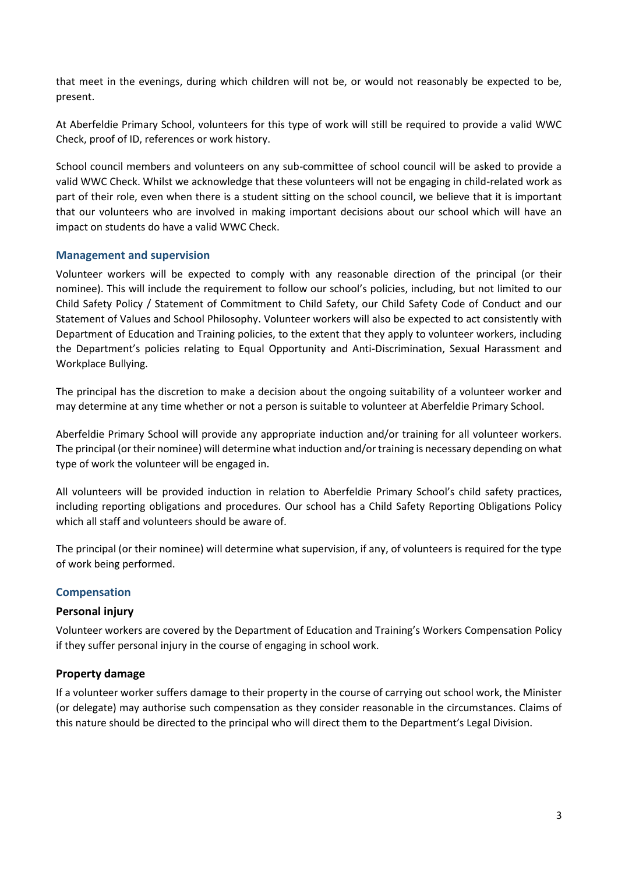that meet in the evenings, during which children will not be, or would not reasonably be expected to be, present.

At Aberfeldie Primary School, volunteers for this type of work will still be required to provide a valid WWC Check, proof of ID, references or work history.

School council members and volunteers on any sub-committee of school council will be asked to provide a valid WWC Check. Whilst we acknowledge that these volunteers will not be engaging in child-related work as part of their role, even when there is a student sitting on the school council, we believe that it is important that our volunteers who are involved in making important decisions about our school which will have an impact on students do have a valid WWC Check.

#### **Management and supervision**

Volunteer workers will be expected to comply with any reasonable direction of the principal (or their nominee). This will include the requirement to follow our school's policies, including, but not limited to our Child Safety Policy / Statement of Commitment to Child Safety, our Child Safety Code of Conduct and our Statement of Values and School Philosophy. Volunteer workers will also be expected to act consistently with Department of Education and Training policies, to the extent that they apply to volunteer workers, including the Department's policies relating to Equal Opportunity and Anti-Discrimination, Sexual Harassment and Workplace Bullying.

The principal has the discretion to make a decision about the ongoing suitability of a volunteer worker and may determine at any time whether or not a person is suitable to volunteer at Aberfeldie Primary School.

Aberfeldie Primary School will provide any appropriate induction and/or training for all volunteer workers. The principal (ortheir nominee) will determine what induction and/ortraining is necessary depending on what type of work the volunteer will be engaged in.

All volunteers will be provided induction in relation to Aberfeldie Primary School's child safety practices, including reporting obligations and procedures. Our school has a Child Safety Reporting Obligations Policy which all staff and volunteers should be aware of.

The principal (or their nominee) will determine what supervision, if any, of volunteers is required for the type of work being performed.

### **Compensation**

#### **Personal injury**

Volunteer workers are covered by the Department of Education and Training's Workers Compensation Policy if they suffer personal injury in the course of engaging in school work.

#### **Property damage**

If a volunteer worker suffers damage to their property in the course of carrying out school work, the Minister (or delegate) may authorise such compensation as they consider reasonable in the circumstances. Claims of this nature should be directed to the principal who will direct them to the Department's Legal Division.